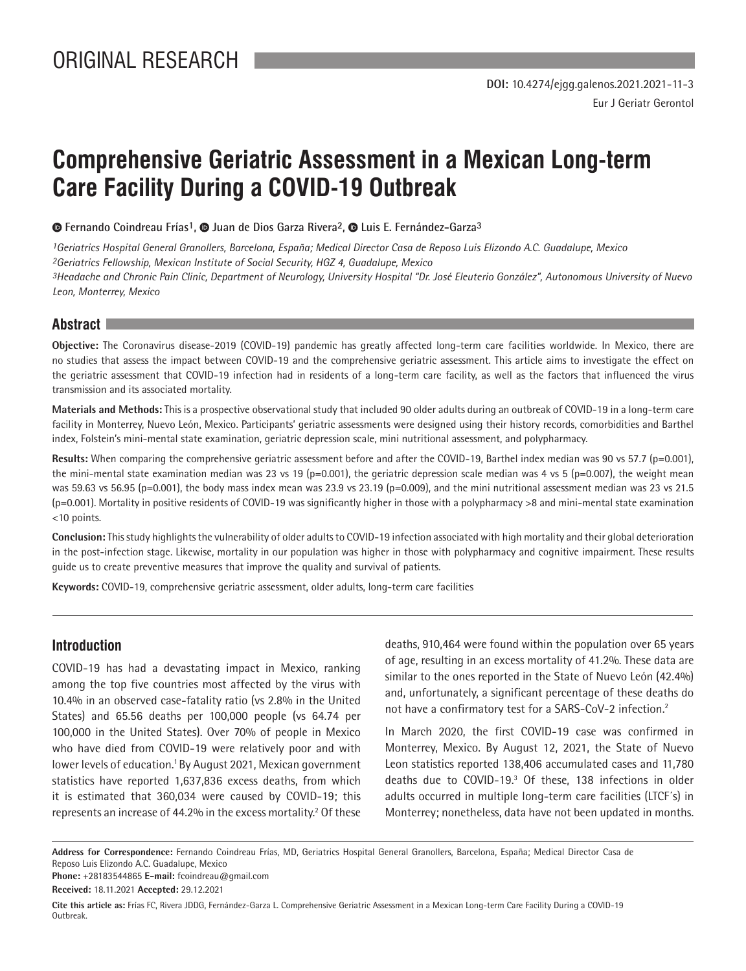# **Comprehensive Geriatric Assessment in a Mexican Long-term Care Facility During a COVID-19 Outbreak**

 $\bullet$  **Fernando Coindreau Frías<sup>1</sup>,**  $\bullet$  **Juan de Dios Garza Rivera<sup>2</sup>,**  $\bullet$  **Luis E. Fernández-Garza<sup>3</sup>** 

*1Geriatrics Hospital General Granollers, Barcelona, España; Medical Director Casa de Reposo Luis Elizondo A.C. Guadalupe, Mexico 2Geriatrics Fellowship, Mexican Institute of Social Security, HGZ 4, Guadalupe, Mexico 3Headache and Chronic Pain Clinic, Department of Neurology, University Hospital "Dr. José Eleuterio González", Autonomous University of Nuevo Leon, Monterrey, Mexico*

# **Abstract**

**Objective:** The Coronavirus disease-2019 (COVID-19) pandemic has greatly affected long-term care facilities worldwide. In Mexico, there are no studies that assess the impact between COVID-19 and the comprehensive geriatric assessment. This article aims to investigate the effect on the geriatric assessment that COVID-19 infection had in residents of a long-term care facility, as well as the factors that influenced the virus transmission and its associated mortality.

**Materials and Methods:** This is a prospective observational study that included 90 older adults during an outbreak of COVID-19 in a long-term care facility in Monterrey, Nuevo León, Mexico. Participants' geriatric assessments were designed using their history records, comorbidities and Barthel index, Folstein's mini-mental state examination, geriatric depression scale, mini nutritional assessment, and polypharmacy.

Results: When comparing the comprehensive geriatric assessment before and after the COVID-19, Barthel index median was 90 vs 57.7 (p=0.001), the mini-mental state examination median was 23 vs 19 (p=0.001), the geriatric depression scale median was 4 vs 5 (p=0.007), the weight mean was 59.63 vs 56.95 (p=0.001), the body mass index mean was 23.9 vs 23.19 (p=0.009), and the mini nutritional assessment median was 23 vs 21.5 (p=0.001). Mortality in positive residents of COVID-19 was significantly higher in those with a polypharmacy >8 and mini-mental state examination <10 points.

**Conclusion:** This study highlights the vulnerability of older adults to COVID-19 infection associated with high mortality and their global deterioration in the post-infection stage. Likewise, mortality in our population was higher in those with polypharmacy and cognitive impairment. These results guide us to create preventive measures that improve the quality and survival of patients.

**Keywords:** COVID-19, comprehensive geriatric assessment, older adults, long-term care facilities

## **Introduction**

COVID-19 has had a devastating impact in Mexico, ranking among the top five countries most affected by the virus with 10.4% in an observed case-fatality ratio (vs 2.8% in the United States) and 65.56 deaths per 100,000 people (vs 64.74 per 100,000 in the United States). Over 70% of people in Mexico who have died from COVID-19 were relatively poor and with lower levels of education.<sup>1</sup> By August 2021, Mexican government statistics have reported 1,637,836 excess deaths, from which it is estimated that 360,034 were caused by COVID-19; this represents an increase of 44.2% in the excess mortality.<sup>2</sup> Of these deaths, 910,464 were found within the population over 65 years of age, resulting in an excess mortality of 41.2%. These data are similar to the ones reported in the State of Nuevo León (42.4%) and, unfortunately, a significant percentage of these deaths do not have a confirmatory test for a SARS-CoV-2 infection.<sup>2</sup>

In March 2020, the first COVID-19 case was confirmed in Monterrey, Mexico. By August 12, 2021, the State of Nuevo Leon statistics reported 138,406 accumulated cases and 11,780 deaths due to COVID-19.3 Of these, 138 infections in older adults occurred in multiple long-term care facilities (LTCF´s) in Monterrey; nonetheless, data have not been updated in months.

**Address for Correspondence:** Fernando Coindreau Frías, MD, Geriatrics Hospital General Granollers, Barcelona, España; Medical Director Casa de Reposo Luis Elizondo A.C. Guadalupe, Mexico

**Phone:** +28183544865 **E-mail:** fcoindreau@gmail.com

**Received:** 18.11.2021 **Accepted:** 29.12.2021

**Cite this article as:** Frías FC, Rivera JDDG, Fernández-Garza L. Comprehensive Geriatric Assessment in a Mexican Long-term Care Facility During a COVID-19 Outbreak.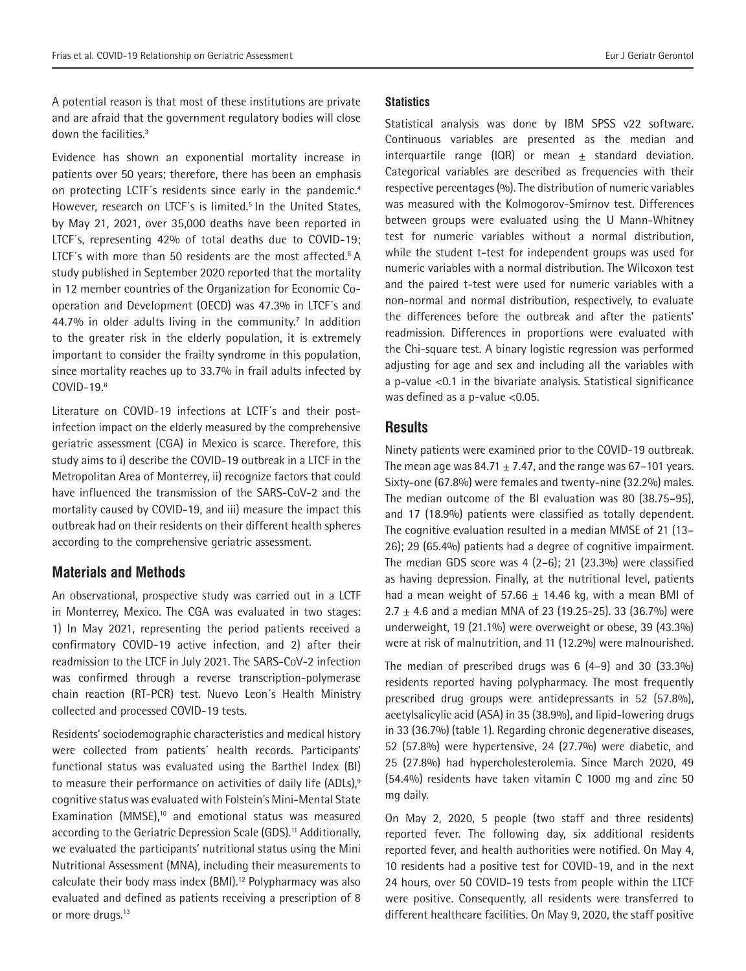A potential reason is that most of these institutions are private and are afraid that the government regulatory bodies will close down the facilities.3

Evidence has shown an exponential mortality increase in patients over 50 years; therefore, there has been an emphasis on protecting LCTF's residents since early in the pandemic.<sup>4</sup> However, research on LTCF's is limited.<sup>5</sup> In the United States, by May 21, 2021, over 35,000 deaths have been reported in LTCF´s, representing 42% of total deaths due to COVID-19; LTCF's with more than 50 residents are the most affected.<sup>6</sup> A study published in September 2020 reported that the mortality in 12 member countries of the Organization for Economic Cooperation and Development (OECD) was 47.3% in LTCF´s and  $44.7%$  in older adults living in the community.<sup>7</sup> In addition to the greater risk in the elderly population, it is extremely important to consider the frailty syndrome in this population, since mortality reaches up to 33.7% in frail adults infected by COVID-19.8

Literature on COVID-19 infections at LCTF´s and their postinfection impact on the elderly measured by the comprehensive geriatric assessment (CGA) in Mexico is scarce. Therefore, this study aims to i) describe the COVID-19 outbreak in a LTCF in the Metropolitan Area of Monterrey, ii) recognize factors that could have influenced the transmission of the SARS-CoV-2 and the mortality caused by COVID-19, and iii) measure the impact this outbreak had on their residents on their different health spheres according to the comprehensive geriatric assessment.

# **Materials and Methods**

An observational, prospective study was carried out in a LCTF in Monterrey, Mexico. The CGA was evaluated in two stages: 1) In May 2021, representing the period patients received a confirmatory COVID-19 active infection, and 2) after their readmission to the LTCF in July 2021. The SARS-CoV-2 infection was confirmed through a reverse transcription-polymerase chain reaction (RT-PCR) test. Nuevo Leon´s Health Ministry collected and processed COVID-19 tests.

Residents' sociodemographic characteristics and medical history were collected from patients´ health records. Participants' functional status was evaluated using the Barthel Index (BI) to measure their performance on activities of daily life (ADLs),<sup>9</sup> cognitive status was evaluated with Folstein's Mini-Mental State Examination (MMSE),<sup>10</sup> and emotional status was measured according to the Geriatric Depression Scale (GDS).<sup>11</sup> Additionally, we evaluated the participants' nutritional status using the Mini Nutritional Assessment (MNA), including their measurements to calculate their body mass index (BMI).<sup>12</sup> Polypharmacy was also evaluated and defined as patients receiving a prescription of 8 or more drugs.<sup>13</sup>

### **Statistics**

Statistical analysis was done by IBM SPSS v22 software. Continuous variables are presented as the median and interquartile range (IQR) or mean  $\pm$  standard deviation. Categorical variables are described as frequencies with their respective percentages (%). The distribution of numeric variables was measured with the Kolmogorov-Smirnov test. Differences between groups were evaluated using the U Mann-Whitney test for numeric variables without a normal distribution, while the student t-test for independent groups was used for numeric variables with a normal distribution. The Wilcoxon test and the paired t-test were used for numeric variables with a non-normal and normal distribution, respectively, to evaluate the differences before the outbreak and after the patients' readmission. Differences in proportions were evaluated with the Chi-square test. A binary logistic regression was performed adjusting for age and sex and including all the variables with a p-value <0.1 in the bivariate analysis. Statistical significance was defined as a p-value <0.05.

# **Results**

Ninety patients were examined prior to the COVID-19 outbreak. The mean age was  $84.71 \pm 7.47$ , and the range was 67–101 years. Sixty-one (67.8%) were females and twenty-nine (32.2%) males. The median outcome of the BI evaluation was 80 (38.75–95), and 17 (18.9%) patients were classified as totally dependent. The cognitive evaluation resulted in a median MMSE of 21 (13– 26); 29 (65.4%) patients had a degree of cognitive impairment. The median GDS score was 4 (2–6); 21 (23.3%) were classified as having depression. Finally, at the nutritional level, patients had a mean weight of 57.66  $\pm$  14.46 kg, with a mean BMI of 2.7  $\pm$  4.6 and a median MNA of 23 (19.25-25). 33 (36.7%) were underweight, 19 (21.1%) were overweight or obese, 39 (43.3%) were at risk of malnutrition, and 11 (12.2%) were malnourished.

The median of prescribed drugs was 6 (4–9) and 30 (33.3%) residents reported having polypharmacy. The most frequently prescribed drug groups were antidepressants in 52 (57.8%), acetylsalicylic acid (ASA) in 35 (38.9%), and lipid-lowering drugs in 33 (36.7%) (table 1). Regarding chronic degenerative diseases, 52 (57.8%) were hypertensive, 24 (27.7%) were diabetic, and 25 (27.8%) had hypercholesterolemia. Since March 2020, 49 (54.4%) residents have taken vitamin C 1000 mg and zinc 50 mg daily.

On May 2, 2020, 5 people (two staff and three residents) reported fever. The following day, six additional residents reported fever, and health authorities were notified. On May 4, 10 residents had a positive test for COVID-19, and in the next 24 hours, over 50 COVID-19 tests from people within the LTCF were positive. Consequently, all residents were transferred to different healthcare facilities. On May 9, 2020, the staff positive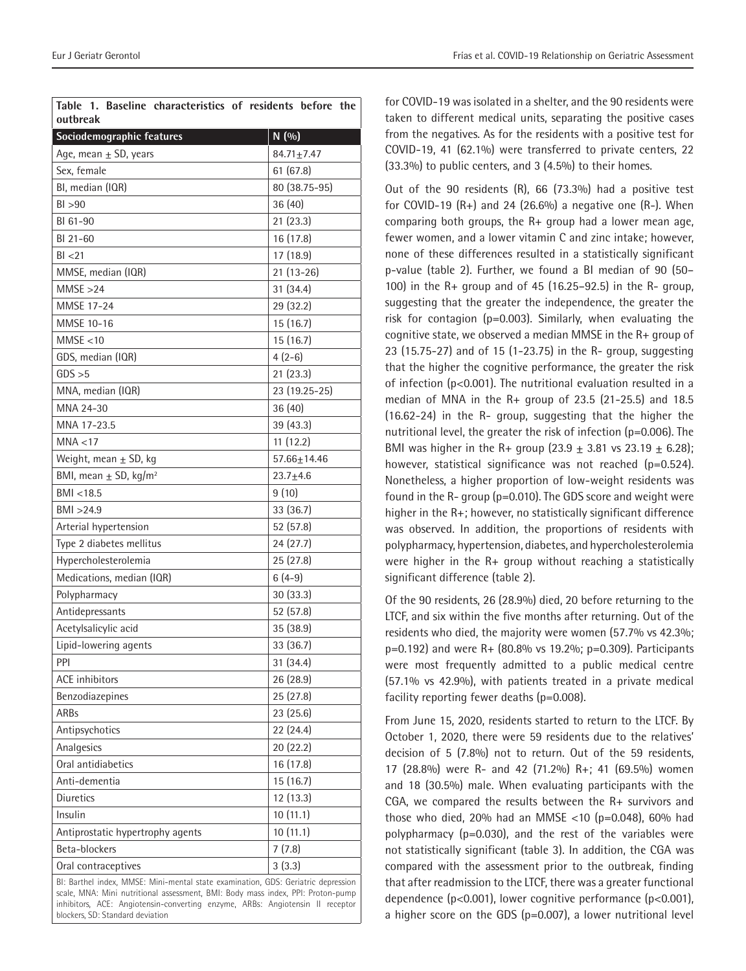| Table 1. Baseline characteristics of residents before the<br>outbreak |                   |
|-----------------------------------------------------------------------|-------------------|
| Sociodemographic features                                             | N(90)             |
| Age, mean $\pm$ SD, years                                             | $84.71 \pm 7.47$  |
| Sex, female                                                           | 61(67.8)          |
| BI, median (IQR)                                                      | 80 (38.75-95)     |
| BI > 90                                                               | 36(40)            |
| BI 61-90                                                              | 21(23.3)          |
| BI 21-60                                                              |                   |
| BI < 21                                                               | 16 (17.8)         |
|                                                                       | 17(18.9)          |
| MMSE, median (IQR)                                                    | $21(13-26)$       |
| MMSE > 24                                                             | 31(34.4)          |
| MMSE 17-24                                                            | 29 (32.2)         |
| MMSE 10-16                                                            | 15(16.7)          |
| MMSE < 10                                                             | 15 (16.7)         |
| GDS, median (IQR)                                                     | $4(2-6)$          |
| GDS > 5                                                               | 21(23.3)          |
| MNA, median (IQR)                                                     | 23 (19.25-25)     |
| MNA 24-30                                                             | 36(40)            |
| MNA 17-23.5                                                           | 39(43.3)          |
| MNA < 17                                                              | 11(12.2)          |
| Weight, mean $\pm$ SD, kg                                             | $57.66 \pm 14.46$ |
| BMI, mean $\pm$ SD, kg/m <sup>2</sup>                                 | $23.7 + 4.6$      |
| BMI < 18.5                                                            | 9(10)             |
| BMI > 24.9                                                            | 33 (36.7)         |
| Arterial hypertension                                                 | 52 (57.8)         |
| Type 2 diabetes mellitus                                              | 24(27.7)          |
| Hypercholesterolemia                                                  | 25 (27.8)         |
| Medications, median (IQR)                                             | $6(4-9)$          |
| Polypharmacy                                                          | 30 (33.3)         |
| Antidepressants                                                       | 52 (57.8)         |
| Acetylsalicylic acid                                                  | 35 (38.9)         |
| Lipid-lowering agents                                                 | 33 (36.7)         |
| <b>PPI</b>                                                            | 31 (34.4)         |
| <b>ACE</b> inhibitors                                                 | 26 (28.9)         |
| Benzodiazepines                                                       | 25 (27.8)         |
| <b>ARBs</b>                                                           | 23 (25.6)         |
| Antipsychotics                                                        | 22 (24.4)         |
| Analgesics                                                            | 20 (22.2)         |
| Oral antidiabetics                                                    | 16 (17.8)         |
| Anti-dementia                                                         | 15 (16.7)         |
| Diuretics                                                             | 12 (13.3)         |
| Insulin                                                               | 10(11.1)          |
| Antiprostatic hypertrophy agents                                      | 10(11.1)          |
| Beta-blockers                                                         | 7(7.8)            |
| Oral contraceptives                                                   | 3(3.3)            |
|                                                                       |                   |

BI: Barthel index, MMSE: Mini-mental state examination, GDS: Geriatric depression scale, MNA: Mini nutritional assessment, BMI: Body mass index, PPI: Proton-pump inhibitors, ACE: Angiotensin-converting enzyme, ARBs: Angiotensin II receptor blockers, SD: Standard deviation

for COVID-19 was isolated in a shelter, and the 90 residents were taken to different medical units, separating the positive cases from the negatives. As for the residents with a positive test for COVID-19, 41 (62.1%) were transferred to private centers, 22 (33.3%) to public centers, and 3 (4.5%) to their homes.

Out of the 90 residents (R), 66 (73.3%) had a positive test for COVID-19  $(R+)$  and 24 (26.6%) a negative one  $(R-)$ . When comparing both groups, the R+ group had a lower mean age, fewer women, and a lower vitamin C and zinc intake; however, none of these differences resulted in a statistically significant p-value (table 2). Further, we found a BI median of 90 (50– 100) in the R+ group and of 45 (16.25–92.5) in the R- group, suggesting that the greater the independence, the greater the risk for contagion (p=0.003). Similarly, when evaluating the cognitive state, we observed a median MMSE in the R+ group of 23 (15.75-27) and of 15 (1-23.75) in the R- group, suggesting that the higher the cognitive performance, the greater the risk of infection (p<0.001). The nutritional evaluation resulted in a median of MNA in the R+ group of 23.5 (21-25.5) and 18.5 (16.62-24) in the R- group, suggesting that the higher the nutritional level, the greater the risk of infection (p=0.006). The BMI was higher in the R+ group  $(23.9 \pm 3.81 \text{ vs } 23.19 \pm 6.28)$ ; however, statistical significance was not reached (p=0.524). Nonetheless, a higher proportion of low-weight residents was found in the R- group (p=0.010). The GDS score and weight were higher in the R+; however, no statistically significant difference was observed. In addition, the proportions of residents with polypharmacy, hypertension, diabetes, and hypercholesterolemia were higher in the R+ group without reaching a statistically significant difference (table 2).

Of the 90 residents, 26 (28.9%) died, 20 before returning to the LTCF, and six within the five months after returning. Out of the residents who died, the majority were women (57.7% vs 42.3%; p=0.192) and were R+ (80.8% vs 19.2%; p=0.309). Participants were most frequently admitted to a public medical centre (57.1% vs 42.9%), with patients treated in a private medical facility reporting fewer deaths (p=0.008).

From June 15, 2020, residents started to return to the LTCF. By October 1, 2020, there were 59 residents due to the relatives' decision of 5 (7.8%) not to return. Out of the 59 residents, 17 (28.8%) were R- and 42 (71.2%) R+; 41 (69.5%) women and 18 (30.5%) male. When evaluating participants with the CGA, we compared the results between the R+ survivors and those who died, 20% had an MMSE <10 ( $p=0.048$ ), 60% had polypharmacy (p=0.030), and the rest of the variables were not statistically significant (table 3). In addition, the CGA was compared with the assessment prior to the outbreak, finding that after readmission to the LTCF, there was a greater functional dependence (p<0.001), lower cognitive performance (p<0.001), a higher score on the GDS (p=0.007), a lower nutritional level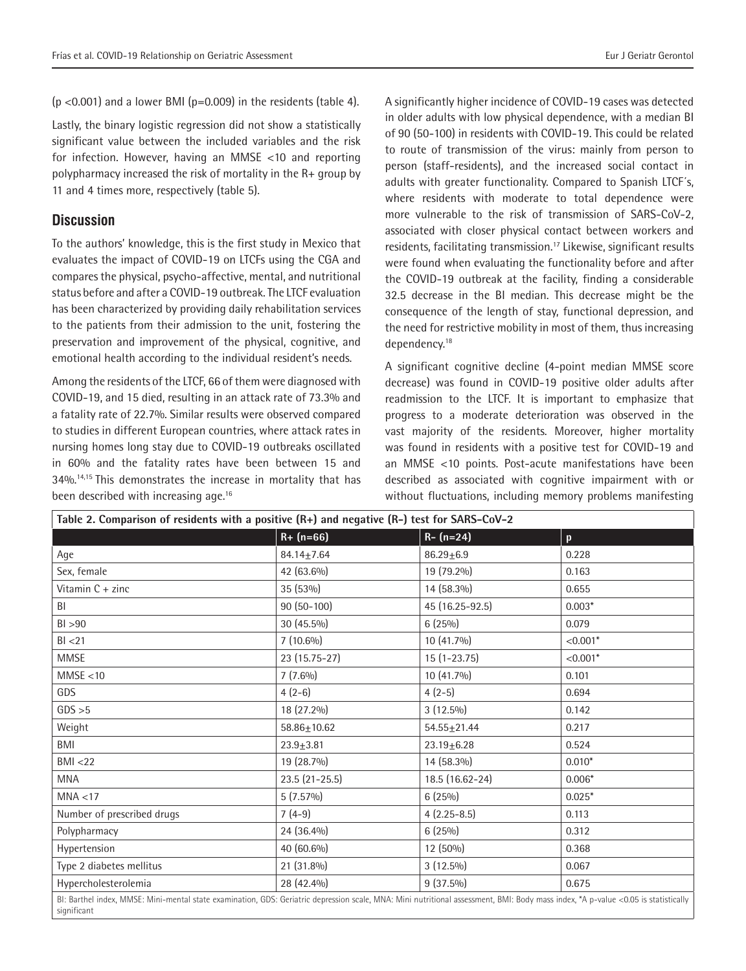$(p < 0.001)$  and a lower BMI ( $p = 0.009$ ) in the residents (table 4).

Lastly, the binary logistic regression did not show a statistically significant value between the included variables and the risk for infection. However, having an MMSE <10 and reporting polypharmacy increased the risk of mortality in the R+ group by 11 and 4 times more, respectively (table 5).

# **Discussion**

To the authors' knowledge, this is the first study in Mexico that evaluates the impact of COVID-19 on LTCFs using the CGA and compares the physical, psycho-affective, mental, and nutritional status before and after a COVID-19 outbreak. The LTCF evaluation has been characterized by providing daily rehabilitation services to the patients from their admission to the unit, fostering the preservation and improvement of the physical, cognitive, and emotional health according to the individual resident's needs.

Among the residents of the LTCF, 66 of them were diagnosed with COVID-19, and 15 died, resulting in an attack rate of 73.3% and a fatality rate of 22.7%. Similar results were observed compared to studies in different European countries, where attack rates in nursing homes long stay due to COVID-19 outbreaks oscillated in 60% and the fatality rates have been between 15 and 34%.14,15 This demonstrates the increase in mortality that has been described with increasing age.<sup>16</sup>

A significantly higher incidence of COVID-19 cases was detected in older adults with low physical dependence, with a median BI of 90 (50-100) in residents with COVID-19. This could be related to route of transmission of the virus: mainly from person to person (staff-residents), and the increased social contact in adults with greater functionality. Compared to Spanish LTCF´s, where residents with moderate to total dependence were more vulnerable to the risk of transmission of SARS-CoV-2, associated with closer physical contact between workers and residents, facilitating transmission.<sup>17</sup> Likewise, significant results were found when evaluating the functionality before and after the COVID-19 outbreak at the facility, finding a considerable 32.5 decrease in the BI median. This decrease might be the consequence of the length of stay, functional depression, and the need for restrictive mobility in most of them, thus increasing dependency.<sup>18</sup>

A significant cognitive decline (4-point median MMSE score decrease) was found in COVID-19 positive older adults after readmission to the LTCF. It is important to emphasize that progress to a moderate deterioration was observed in the vast majority of the residents. Moreover, higher mortality was found in residents with a positive test for COVID-19 and an MMSE <10 points. Post-acute manifestations have been described as associated with cognitive impairment with or without fluctuations, including memory problems manifesting

| Table 2. Comparison of residents with a positive (R+) and negative (R-) test for SARS-CoV-2                                                                                                       |                   |                   |            |
|---------------------------------------------------------------------------------------------------------------------------------------------------------------------------------------------------|-------------------|-------------------|------------|
|                                                                                                                                                                                                   | $R + (n = 66)$    | $R - (n=24)$      | p          |
| Age                                                                                                                                                                                               | $84.14 + 7.64$    | $86.29 + 6.9$     | 0.228      |
| Sex, female                                                                                                                                                                                       | 42 (63.6%)        | 19 (79.2%)        | 0.163      |
| Vitamin $C + z$ inc                                                                                                                                                                               | 35 (53%)          | 14 (58.3%)        | 0.655      |
| BI                                                                                                                                                                                                | $90(50-100)$      | 45 (16.25-92.5)   | $0.003*$   |
| BI > 90                                                                                                                                                                                           | 30 (45.5%)        | $6(25\%)$         | 0.079      |
| BI < 21                                                                                                                                                                                           | $7(10.6\%)$       | 10 (41.7%)        | $< 0.001*$ |
| <b>MMSE</b>                                                                                                                                                                                       | 23 (15.75-27)     | $15(1-23.75)$     | $< 0.001*$ |
| MMSE < 10                                                                                                                                                                                         | $7(7.6\%)$        | 10 (41.7%)        | 0.101      |
| GDS                                                                                                                                                                                               | $4(2-6)$          | $4(2-5)$          | 0.694      |
| GDS > 5                                                                                                                                                                                           | 18 (27.2%)        | $3(12.5\%)$       | 0.142      |
| Weight                                                                                                                                                                                            | $58.86 \pm 10.62$ | $54.55 \pm 21.44$ | 0.217      |
| BMI                                                                                                                                                                                               | $23.9 + 3.81$     | $23.19 + 6.28$    | 0.524      |
| BMI < 22                                                                                                                                                                                          | 19 (28.7%)        | 14 (58.3%)        | $0.010*$   |
| <b>MNA</b>                                                                                                                                                                                        | $23.5(21-25.5)$   | 18.5 (16.62-24)   | $0.006*$   |
| MNA < 17                                                                                                                                                                                          | $5(7.57\%)$       | $6(25\%)$         | $0.025*$   |
| Number of prescribed drugs                                                                                                                                                                        | $7(4-9)$          | $4(2.25-8.5)$     | 0.113      |
| Polypharmacy                                                                                                                                                                                      | 24 (36.4%)        | $6(25\%)$         | 0.312      |
| Hypertension                                                                                                                                                                                      | 40 (60.6%)        | 12 (50%)          | 0.368      |
| Type 2 diabetes mellitus                                                                                                                                                                          | 21 (31.8%)        | $3(12.5\%)$       | 0.067      |
| Hypercholesterolemia                                                                                                                                                                              | 28 (42.4%)        | $9(37.5\%)$       | 0.675      |
| BI: Barthel index, MMSE: Mini-mental state examination, GDS: Geriatric depression scale, MNA: Mini nutritional assessment, BMI: Body mass index, *A p-value <0.05 is statistically<br>significant |                   |                   |            |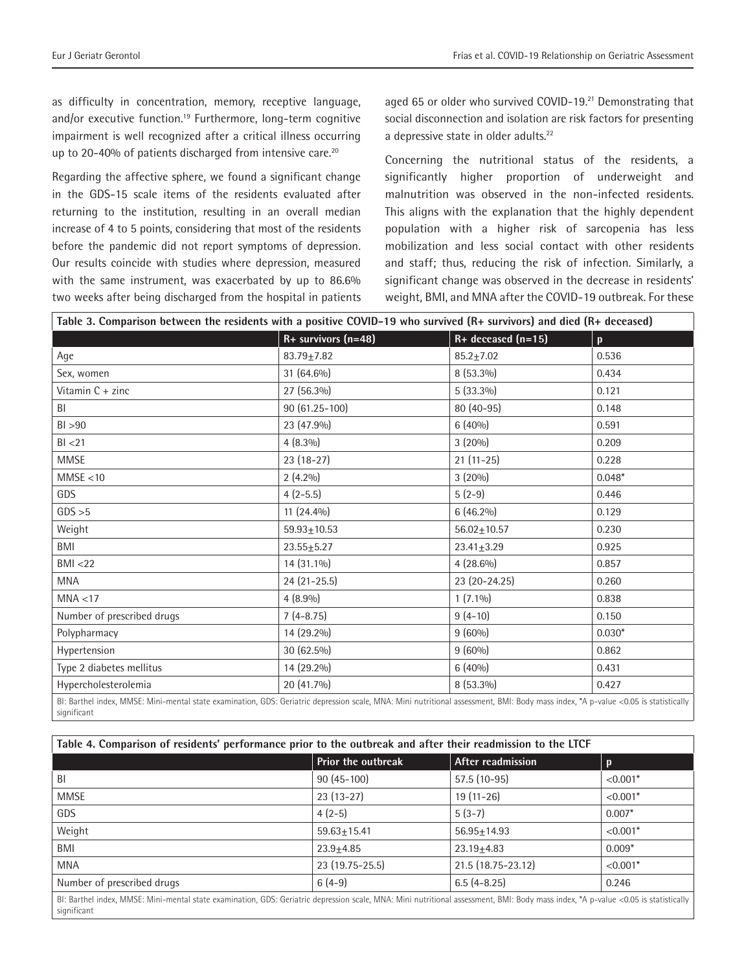as difficulty in concentration, memory, receptive language, and/or executive function.<sup>19</sup> Furthermore, long-term cognitive impairment is well recognized after a critical illness occurring up to 20-40% of patients discharged from intensive care.<sup>20</sup>

Regarding the affective sphere, we found a significant change in the GDS-15 scale items of the residents evaluated after returning to the institution, resulting in an overall median increase of 4 to 5 points, considering that most of the residents before the pandemic did not report symptoms of depression. Our results coincide with studies where depression, measured with the same instrument, was exacerbated by up to 86.6% two weeks after being discharged from the hospital in patients aged 65 or older who survived COVID-19.<sup>21</sup> Demonstrating that social disconnection and isolation are risk factors for presenting a depressive state in older adults.<sup>22</sup>

Concerning the nutritional status of the residents, a significantly higher proportion of underweight and malnutrition was observed in the non-infected residents. This aligns with the explanation that the highly dependent population with a higher risk of sarcopenia has less mobilization and less social contact with other residents and staff; thus, reducing the risk of infection. Similarly, a significant change was observed in the decrease in residents' weight, BMI, and MNA after the COVID-19 outbreak. For these

| Table 3. Comparison between the residents with a positive COVID-19 who survived (R+ survivors) and died (R+ deceased)                                                                      |                         |                        |              |
|--------------------------------------------------------------------------------------------------------------------------------------------------------------------------------------------|-------------------------|------------------------|--------------|
|                                                                                                                                                                                            | $R+$ survivors $(n=48)$ | $R+$ deceased $(n=15)$ | $\mathbf{p}$ |
| Age                                                                                                                                                                                        | $83.79 + 7.82$          | $85.2 + 7.02$          | 0.536        |
| Sex, women                                                                                                                                                                                 | 31 (64.6%)              | 8 (53.3%)              | 0.434        |
| Vitamin C + zinc                                                                                                                                                                           | 27 (56.3%)              | $5(33.3\%)$            | 0.121        |
| BI                                                                                                                                                                                         | 90 (61.25-100)          | $80(40-95)$            | 0.148        |
| BI > 90                                                                                                                                                                                    | 23 (47.9%)              | $6(40\%)$              | 0.591        |
| BI < 21                                                                                                                                                                                    | $4(8.3\%)$              | $3(20\%)$              | 0.209        |
| <b>MMSE</b>                                                                                                                                                                                | 23 (18-27)              | $21(11-25)$            | 0.228        |
| MMSE < 10                                                                                                                                                                                  | $2(4.2\%)$              | $3(20\%)$              | $0.048*$     |
| GDS                                                                                                                                                                                        | $4(2-5.5)$              | $5(2-9)$               | 0.446        |
| GDS > 5                                                                                                                                                                                    | 11 (24.4%)              | $6(46.2\%)$            | 0.129        |
| Weight                                                                                                                                                                                     | $59.93 \pm 10.53$       | $56.02 \pm 10.57$      | 0.230        |
| BMI                                                                                                                                                                                        | $23.55 \pm 5.27$        | $23.41 + 3.29$         | 0.925        |
| BMI < 22                                                                                                                                                                                   | 14 (31.1%)              | $4(28.6\%)$            | 0.857        |
| <b>MNA</b>                                                                                                                                                                                 | $24(21-25.5)$           | 23 (20-24.25)          | 0.260        |
| MNA < 17                                                                                                                                                                                   | $4(8.9\%)$              | $1(7.1\%)$             | 0.838        |
| Number of prescribed drugs                                                                                                                                                                 | $7(4-8.75)$             | $9(4-10)$              | 0.150        |
| Polypharmacy                                                                                                                                                                               | 14 (29.2%)              | $9(60\%)$              | $0.030*$     |
| Hypertension                                                                                                                                                                               | 30 (62.5%)              | $9(60\%)$              | 0.862        |
| Type 2 diabetes mellitus                                                                                                                                                                   | 14 (29.2%)              | $6(40\%)$              | 0.431        |
| Hypercholesterolemia                                                                                                                                                                       | $20(41.7\%)$            | $8(53.3\%)$            | 0.427        |
| $R_1$ : Barthel index MMSE: Mini-mental state examination GDS: Geriatric depression scale MNA: Mini nutritional assessment $RMI_1$ : Body mass index $*A_1$ p-value <0.05 is statistically |                         |                        |              |

BI: Barthel index, MMSE: Mini-mental state examination, GDS: Geriatric depression scale, MNA: Mini nutritional assessment, BMI: Body mass index, \*A p-value <0.05 is statistically significant

| Table 4. Comparison of residents' performance prior to the outbreak and after their readmission to the LTCF                                                                                       |                           |                    |            |
|---------------------------------------------------------------------------------------------------------------------------------------------------------------------------------------------------|---------------------------|--------------------|------------|
|                                                                                                                                                                                                   | <b>Prior the outbreak</b> | After readmission  | $\bf{D}$   |
| BI                                                                                                                                                                                                | $90(45-100)$              | $57.5(10-95)$      | $< 0.001*$ |
| <b>MMSE</b>                                                                                                                                                                                       | $23(13-27)$               | $19(11-26)$        | $< 0.001*$ |
| GDS                                                                                                                                                                                               | $4(2-5)$                  | $5(3-7)$           | $0.007*$   |
| Weight                                                                                                                                                                                            | $59.63 + 15.41$           | $56.95 + 14.93$    | $< 0.001*$ |
| BMI                                                                                                                                                                                               | $23.9 + 4.85$             | $23.19 + 4.83$     | $0.009*$   |
| <b>MNA</b>                                                                                                                                                                                        | 23 (19.75-25.5)           | 21.5 (18.75-23.12) | $< 0.001*$ |
| Number of prescribed drugs                                                                                                                                                                        | $6(4-9)$                  | $6.5(4-8.25)$      | 0.246      |
| BI: Barthel index, MMSE: Mini-mental state examination, GDS: Geriatric depression scale, MNA: Mini nutritional assessment, BMI: Body mass index, *A p-value <0.05 is statistically<br>significant |                           |                    |            |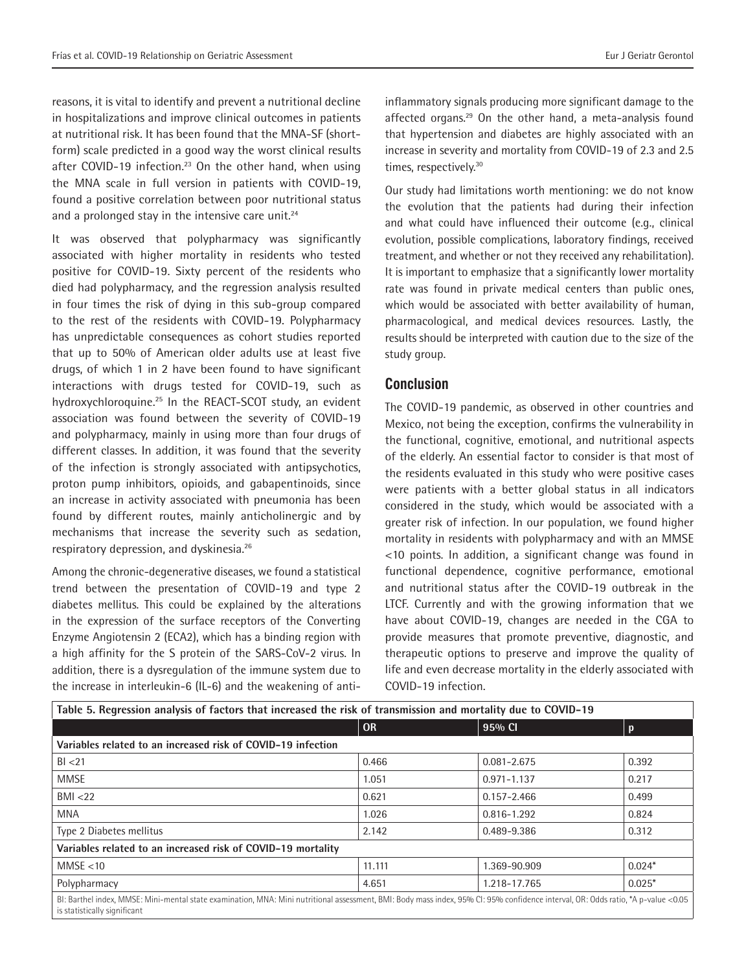reasons, it is vital to identify and prevent a nutritional decline in hospitalizations and improve clinical outcomes in patients at nutritional risk. It has been found that the MNA-SF (shortform) scale predicted in a good way the worst clinical results after COVID-19 infection.<sup>23</sup> On the other hand, when using the MNA scale in full version in patients with COVID-19, found a positive correlation between poor nutritional status and a prolonged stay in the intensive care unit.<sup>24</sup>

It was observed that polypharmacy was significantly associated with higher mortality in residents who tested positive for COVID-19. Sixty percent of the residents who died had polypharmacy, and the regression analysis resulted in four times the risk of dying in this sub-group compared to the rest of the residents with COVID-19. Polypharmacy has unpredictable consequences as cohort studies reported that up to 50% of American older adults use at least five drugs, of which 1 in 2 have been found to have significant interactions with drugs tested for COVID-19, such as hydroxychloroquine.<sup>25</sup> In the REACT-SCOT study, an evident association was found between the severity of COVID-19 and polypharmacy, mainly in using more than four drugs of different classes. In addition, it was found that the severity of the infection is strongly associated with antipsychotics, proton pump inhibitors, opioids, and gabapentinoids, since an increase in activity associated with pneumonia has been found by different routes, mainly anticholinergic and by mechanisms that increase the severity such as sedation, respiratory depression, and dyskinesia.26

Among the chronic-degenerative diseases, we found a statistical trend between the presentation of COVID-19 and type 2 diabetes mellitus. This could be explained by the alterations in the expression of the surface receptors of the Converting Enzyme Angiotensin 2 (ECA2), which has a binding region with a high affinity for the S protein of the SARS-CoV-2 virus. In addition, there is a dysregulation of the immune system due to the increase in interleukin-6 (IL-6) and the weakening of antiinflammatory signals producing more significant damage to the affected organs.<sup>29</sup> On the other hand, a meta-analysis found that hypertension and diabetes are highly associated with an increase in severity and mortality from COVID-19 of 2.3 and 2.5 times, respectively.<sup>30</sup>

Our study had limitations worth mentioning: we do not know the evolution that the patients had during their infection and what could have influenced their outcome (e.g., clinical evolution, possible complications, laboratory findings, received treatment, and whether or not they received any rehabilitation). It is important to emphasize that a significantly lower mortality rate was found in private medical centers than public ones, which would be associated with better availability of human, pharmacological, and medical devices resources. Lastly, the results should be interpreted with caution due to the size of the study group.

# **Conclusion**

The COVID-19 pandemic, as observed in other countries and Mexico, not being the exception, confirms the vulnerability in the functional, cognitive, emotional, and nutritional aspects of the elderly. An essential factor to consider is that most of the residents evaluated in this study who were positive cases were patients with a better global status in all indicators considered in the study, which would be associated with a greater risk of infection. In our population, we found higher mortality in residents with polypharmacy and with an MMSE <10 points. In addition, a significant change was found in functional dependence, cognitive performance, emotional and nutritional status after the COVID-19 outbreak in the LTCF. Currently and with the growing information that we have about COVID-19, changes are needed in the CGA to provide measures that promote preventive, diagnostic, and therapeutic options to preserve and improve the quality of life and even decrease mortality in the elderly associated with COVID-19 infection.

| Table 5. Regression analysis of factors that increased the risk of transmission and mortality due to COVID-19                                                                                                     |           |                 |          |
|-------------------------------------------------------------------------------------------------------------------------------------------------------------------------------------------------------------------|-----------|-----------------|----------|
|                                                                                                                                                                                                                   | <b>OR</b> | 95% CI          | D        |
| Variables related to an increased risk of COVID-19 infection                                                                                                                                                      |           |                 |          |
| BI < 21                                                                                                                                                                                                           | 0.466     | $0.081 - 2.675$ | 0.392    |
| <b>MMSE</b>                                                                                                                                                                                                       | 1.051     | $0.971 - 1.137$ | 0.217    |
| BMI < 22                                                                                                                                                                                                          | 0.621     | $0.157 - 2.466$ | 0.499    |
| <b>MNA</b>                                                                                                                                                                                                        | 1.026     | 0.816-1.292     | 0.824    |
| Type 2 Diabetes mellitus                                                                                                                                                                                          | 2.142     | 0.489-9.386     | 0.312    |
| Variables related to an increased risk of COVID-19 mortality                                                                                                                                                      |           |                 |          |
| MMSE < 10                                                                                                                                                                                                         | 11.111    | 1.369-90.909    | $0.024*$ |
| Polypharmacy                                                                                                                                                                                                      | 4.651     | 1.218-17.765    | $0.025*$ |
| BI: Barthel index, MMSE: Mini-mental state examination, MNA: Mini nutritional assessment, BMI: Body mass index, 95% CI: 95% confidence interval, OR: Odds ratio, *A p-value <0.05<br>is statistically significant |           |                 |          |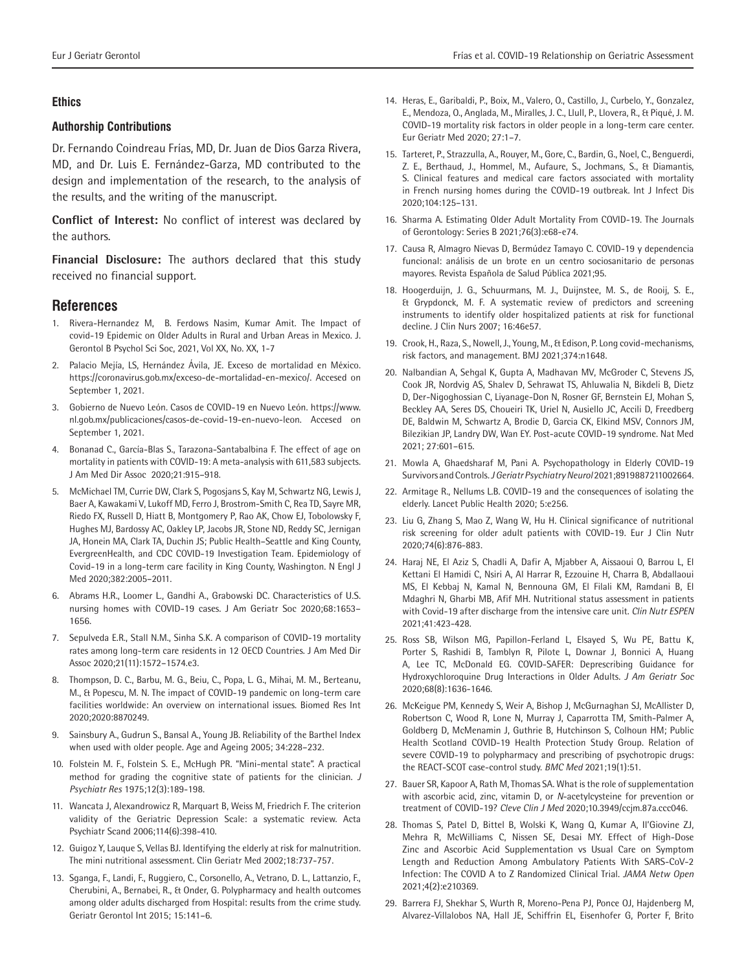## **Ethics**

#### **Authorship Contributions**

Dr. Fernando Coindreau Frías, MD, Dr. Juan de Dios Garza Rivera, MD, and Dr. Luis E. Fernández-Garza, MD contributed to the design and implementation of the research, to the analysis of the results, and the writing of the manuscript.

**Conflict of Interest:** No conflict of interest was declared by the authors.

**Financial Disclosure:** The authors declared that this study received no financial support.

#### **References**

- 1. Rivera-Hernandez M, B. Ferdows Nasim, Kumar Amit. The Impact of covid-19 Epidemic on Older Adults in Rural and Urban Areas in Mexico. J. Gerontol B Psychol Sci Soc, 2021, Vol XX, No. XX, 1-7
- 2. Palacio Mejía, LS, Hernández Ávila, JE. Exceso de mortalidad en México. https://coronavirus.gob.mx/exceso-de-mortalidad-en-mexico/. Accesed on September 1, 2021.
- 3. Gobierno de Nuevo León. Casos de COVID-19 en Nuevo León. https://www. nl.gob.mx/publicaciones/casos-de-covid-19-en-nuevo-leon. Accesed on September 1, 2021.
- 4. Bonanad C., García-Blas S., Tarazona-Santabalbina F. The effect of age on mortality in patients with COVID-19: A meta-analysis with 611,583 subjects. J Am Med Dir Assoc 2020;21:915–918.
- 5. McMichael TM, Currie DW, Clark S, Pogosjans S, Kay M, Schwartz NG, Lewis J, Baer A, Kawakami V, Lukoff MD, Ferro J, Brostrom-Smith C, Rea TD, Sayre MR, Riedo FX, Russell D, Hiatt B, Montgomery P, Rao AK, Chow EJ, Tobolowsky F, Hughes MJ, Bardossy AC, Oakley LP, Jacobs JR, Stone ND, Reddy SC, Jernigan JA, Honein MA, Clark TA, Duchin JS; Public Health–Seattle and King County, EvergreenHealth, and CDC COVID-19 Investigation Team. Epidemiology of Covid-19 in a long-term care facility in King County, Washington. N Engl J Med 2020;382:2005–2011.
- 6. Abrams H.R., Loomer L., Gandhi A., Grabowski DC. Characteristics of U.S. nursing homes with COVID-19 cases. J Am Geriatr Soc 2020;68:1653– 1656.
- 7. Sepulveda E.R., Stall N.M., Sinha S.K. A comparison of COVID-19 mortality rates among long-term care residents in 12 OECD Countries. J Am Med Dir Assoc 2020;21(11):1572–1574.e3.
- 8. Thompson, D. C., Barbu, M. G., Beiu, C., Popa, L. G., Mihai, M. M., Berteanu, M., & Popescu, M. N. The impact of COVID-19 pandemic on long-term care facilities worldwide: An overview on international issues. Biomed Res Int 2020;2020:8870249.
- 9. Sainsbury A., Gudrun S., Bansal A., Young JB. Reliability of the Barthel Index when used with older people. Age and Ageing 2005; 34:228–232.
- 10. Folstein M. F., Folstein S. E., McHugh PR. "Mini-mental state". A practical method for grading the cognitive state of patients for the clinician. *J Psychiatr Res* 1975;12(3):189-198.
- 11. Wancata J, Alexandrowicz R, Marquart B, Weiss M, Friedrich F. The criterion validity of the Geriatric Depression Scale: a systematic review. Acta Psychiatr Scand 2006;114(6):398-410.
- 12. Guigoz Y, Lauque S, Vellas BJ. Identifying the elderly at risk for malnutrition. The mini nutritional assessment. Clin Geriatr Med 2002;18:737‐757.
- 13. Sganga, F., Landi, F., Ruggiero, C., Corsonello, A., Vetrano, D. L., Lattanzio, F., Cherubini, A., Bernabei, R., & Onder, G. Polypharmacy and health outcomes among older adults discharged from Hospital: results from the crime study. Geriatr Gerontol Int 2015; 15:141–6.
- 14. Heras, E., Garibaldi, P., Boix, M., Valero, O., Castillo, J., Curbelo, Y., Gonzalez, E., Mendoza, O., Anglada, M., Miralles, J. C., Llull, P., Llovera, R., & Piqué, J. M. COVID-19 mortality risk factors in older people in a long-term care center. Eur Geriatr Med 2020; 27:1–7.
- 15. Tarteret, P., Strazzulla, A., Rouyer, M., Gore, C., Bardin, G., Noel, C., Benguerdi, Z. E., Berthaud, J., Hommel, M., Aufaure, S., Jochmans, S., & Diamantis, S. Clinical features and medical care factors associated with mortality in French nursing homes during the COVID-19 outbreak. Int J Infect Dis 2020;104:125–131.
- 16. Sharma A. Estimating Older Adult Mortality From COVID-19. The Journals of Gerontology: Series B 2021;76(3):e68-e74.
- 17. Causa R, Almagro Nievas D, Bermúdez Tamayo C. COVID-19 y dependencia funcional: análisis de un brote en un centro sociosanitario de personas mayores. Revista Española de Salud Pública 2021;95.
- 18. Hoogerduijn, J. G., Schuurmans, M. J., Duijnstee, M. S., de Rooij, S. E., & Grypdonck, M. F. A systematic review of predictors and screening instruments to identify older hospitalized patients at risk for functional decline. J Clin Nurs 2007; 16:46e57.
- 19. Crook, H., Raza, S., Nowell, J., Young, M., & Edison, P. Long covid-mechanisms, risk factors, and management. BMJ 2021;374:n1648.
- 20. Nalbandian A, Sehgal K, Gupta A, Madhavan MV, McGroder C, Stevens JS, Cook JR, Nordvig AS, Shalev D, Sehrawat TS, Ahluwalia N, Bikdeli B, Dietz D, Der-Nigoghossian C, Liyanage-Don N, Rosner GF, Bernstein EJ, Mohan S, Beckley AA, Seres DS, Choueiri TK, Uriel N, Ausiello JC, Accili D, Freedberg DE, Baldwin M, Schwartz A, Brodie D, Garcia CK, Elkind MSV, Connors JM, Bilezikian JP, Landry DW, Wan EY. Post-acute COVID-19 syndrome. Nat Med 2021; 27:601–615.
- 21. Mowla A, Ghaedsharaf M, Pani A. Psychopathology in Elderly COVID-19 Survivors and Controls. *J Geriatr Psychiatry Neurol* 2021;8919887211002664.
- 22. Armitage R., Nellums L.B. COVID-19 and the consequences of isolating the elderly. Lancet Public Health 2020; 5:e256.
- 23. Liu G, Zhang S, Mao Z, Wang W, Hu H. Clinical significance of nutritional risk screening for older adult patients with COVID-19. Eur J Clin Nutr 2020;74(6):876-883.
- 24. Haraj NE, El Aziz S, Chadli A, Dafir A, Mjabber A, Aissaoui O, Barrou L, El Kettani El Hamidi C, Nsiri A, Al Harrar R, Ezzouine H, Charra B, Abdallaoui MS, El Kebbaj N, Kamal N, Bennouna GM, El Filali KM, Ramdani B, El Mdaghri N, Gharbi MB, Afif MH. Nutritional status assessment in patients with Covid-19 after discharge from the intensive care unit. *Clin Nutr ESPEN* 2021;41:423-428.
- 25. Ross SB, Wilson MG, Papillon-Ferland L, Elsayed S, Wu PE, Battu K, Porter S, Rashidi B, Tamblyn R, Pilote L, Downar J, Bonnici A, Huang A, Lee TC, McDonald EG. COVID-SAFER: Deprescribing Guidance for Hydroxychloroquine Drug Interactions in Older Adults. *J Am Geriatr Soc* 2020;68(8):1636-1646.
- 26. McKeigue PM, Kennedy S, Weir A, Bishop J, McGurnaghan SJ, McAllister D, Robertson C, Wood R, Lone N, Murray J, Caparrotta TM, Smith-Palmer A, Goldberg D, McMenamin J, Guthrie B, Hutchinson S, Colhoun HM; Public Health Scotland COVID-19 Health Protection Study Group. Relation of severe COVID-19 to polypharmacy and prescribing of psychotropic drugs: the REACT-SCOT case-control study. *BMC Med* 2021;19(1):51.
- 27. Bauer SR, Kapoor A, Rath M, Thomas SA. What is the role of supplementation with ascorbic acid, zinc, vitamin D, or *N*-acetylcysteine for prevention or treatment of COVID-19? *Cleve Clin J Med* 2020;10.3949/ccjm.87a.ccc046.
- 28. Thomas S, Patel D, Bittel B, Wolski K, Wang Q, Kumar A, Il'Giovine ZJ, Mehra R, McWilliams C, Nissen SE, Desai MY. Effect of High-Dose Zinc and Ascorbic Acid Supplementation vs Usual Care on Symptom Length and Reduction Among Ambulatory Patients With SARS-CoV-2 Infection: The COVID A to Z Randomized Clinical Trial. *JAMA Netw Open* 2021;4(2):e210369.
- 29. Barrera FJ, Shekhar S, Wurth R, Moreno-Pena PJ, Ponce OJ, Hajdenberg M, Alvarez-Villalobos NA, Hall JE, Schiffrin EL, Eisenhofer G, Porter F, Brito